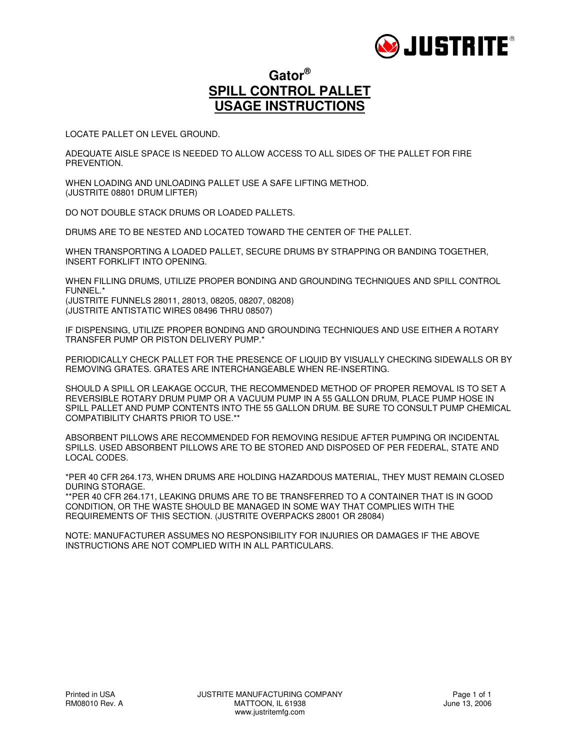

### **Gator® SPILL CONTROL PALLET USAGE INSTRUCTIONS**

LOCATE PALLET ON LEVEL GROUND.

ADEQUATE AISLE SPACE IS NEEDED TO ALLOW ACCESS TO ALL SIDES OF THE PALLET FOR FIRE PREVENTION.

WHEN LOADING AND UNLOADING PALLET USE A SAFE LIFTING METHOD. (JUSTRITE 08801 DRUM LIFTER)

DO NOT DOUBLE STACK DRUMS OR LOADED PALLETS.

DRUMS ARE TO BE NESTED AND LOCATED TOWARD THE CENTER OF THE PALLET.

WHEN TRANSPORTING A LOADED PALLET, SECURE DRUMS BY STRAPPING OR BANDING TOGETHER, INSERT FORKLIFT INTO OPENING.

WHEN FILLING DRUMS, UTILIZE PROPER BONDING AND GROUNDING TECHNIQUES AND SPILL CONTROL FUNNEL.\* (JUSTRITE FUNNELS 28011, 28013, 08205, 08207, 08208)

(JUSTRITE ANTISTATIC WIRES 08496 THRU 08507)

IF DISPENSING, UTILIZE PROPER BONDING AND GROUNDING TECHNIQUES AND USE EITHER A ROTARY TRANSFER PUMP OR PISTON DELIVERY PUMP.\*

PERIODICALLY CHECK PALLET FOR THE PRESENCE OF LIQUID BY VISUALLY CHECKING SIDEWALLS OR BY REMOVING GRATES. GRATES ARE INTERCHANGEABLE WHEN RE-INSERTING.

SHOULD A SPILL OR LEAKAGE OCCUR, THE RECOMMENDED METHOD OF PROPER REMOVAL IS TO SET A REVERSIBLE ROTARY DRUM PUMP OR A VACUUM PUMP IN A 55 GALLON DRUM, PLACE PUMP HOSE IN SPILL PALLET AND PUMP CONTENTS INTO THE 55 GALLON DRUM. BE SURE TO CONSULT PUMP CHEMICAL COMPATIBILITY CHARTS PRIOR TO USE.\*\*

ABSORBENT PILLOWS ARE RECOMMENDED FOR REMOVING RESIDUE AFTER PUMPING OR INCIDENTAL SPILLS. USED ABSORBENT PILLOWS ARE TO BE STORED AND DISPOSED OF PER FEDERAL, STATE AND LOCAL CODES.

\*PER 40 CFR 264.173, WHEN DRUMS ARE HOLDING HAZARDOUS MATERIAL, THEY MUST REMAIN CLOSED DURING STORAGE.

\*\*PER 40 CFR 264.171, LEAKING DRUMS ARE TO BE TRANSFERRED TO A CONTAINER THAT IS IN GOOD CONDITION, OR THE WASTE SHOULD BE MANAGED IN SOME WAY THAT COMPLIES WITH THE REQUIREMENTS OF THIS SECTION. (JUSTRITE OVERPACKS 28001 OR 28084)

NOTE: MANUFACTURER ASSUMES NO RESPONSIBILITY FOR INJURIES OR DAMAGES IF THE ABOVE INSTRUCTIONS ARE NOT COMPLIED WITH IN ALL PARTICULARS.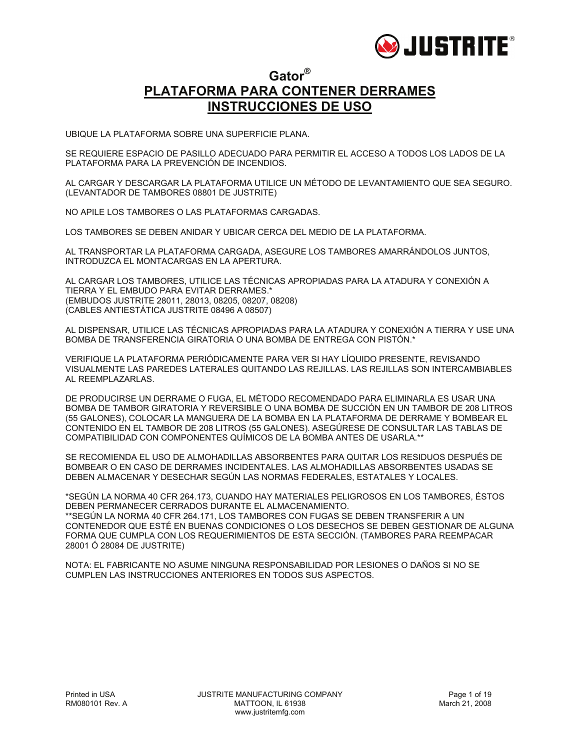

### **Gator® PLATAFORMA PARA CONTENER DERRAMES INSTRUCCIONES DE USO**

UBIQUE LA PLATAFORMA SOBRE UNA SUPERFICIE PLANA.

SE REQUIERE ESPACIO DE PASILLO ADECUADO PARA PERMITIR EL ACCESO A TODOS LOS LADOS DE LA PLATAFORMA PARA LA PREVENCIÓN DE INCENDIOS.

AL CARGAR Y DESCARGAR LA PLATAFORMA UTILICE UN MÉTODO DE LEVANTAMIENTO QUE SEA SEGURO. (LEVANTADOR DE TAMBORES 08801 DE JUSTRITE)

NO APILE LOS TAMBORES O LAS PLATAFORMAS CARGADAS.

LOS TAMBORES SE DEBEN ANIDAR Y UBICAR CERCA DEL MEDIO DE LA PLATAFORMA.

AL TRANSPORTAR LA PLATAFORMA CARGADA, ASEGURE LOS TAMBORES AMARRÁNDOLOS JUNTOS, INTRODUZCA EL MONTACARGAS EN LA APERTURA.

AL CARGAR LOS TAMBORES, UTILICE LAS TÉCNICAS APROPIADAS PARA LA ATADURA Y CONEXIÓN A TIERRA Y EL EMBUDO PARA EVITAR DERRAMES.\* (EMBUDOS JUSTRITE 28011, 28013, 08205, 08207, 08208) (CABLES ANTIESTÁTICA JUSTRITE 08496 A 08507)

AL DISPENSAR, UTILICE LAS TÉCNICAS APROPIADAS PARA LA ATADURA Y CONEXIÓN A TIERRA Y USE UNA BOMBA DE TRANSFERENCIA GIRATORIA O UNA BOMBA DE ENTREGA CON PISTÓN.\*

VERIFIQUE LA PLATAFORMA PERIÓDICAMENTE PARA VER SI HAY LÍQUIDO PRESENTE, REVISANDO VISUALMENTE LAS PAREDES LATERALES QUITANDO LAS REJILLAS. LAS REJILLAS SON INTERCAMBIABLES AL REEMPLAZARLAS.

DE PRODUCIRSE UN DERRAME O FUGA, EL MÉTODO RECOMENDADO PARA ELIMINARLA ES USAR UNA BOMBA DE TAMBOR GIRATORIA Y REVERSIBLE O UNA BOMBA DE SUCCIÓN EN UN TAMBOR DE 208 LITROS (55 GALONES), COLOCAR LA MANGUERA DE LA BOMBA EN LA PLATAFORMA DE DERRAME Y BOMBEAR EL CONTENIDO EN EL TAMBOR DE 208 LITROS (55 GALONES). ASEGÚRESE DE CONSULTAR LAS TABLAS DE COMPATIBILIDAD CON COMPONENTES QUÍMICOS DE LA BOMBA ANTES DE USARLA.\*\*

SE RECOMIENDA EL USO DE ALMOHADILLAS ABSORBENTES PARA QUITAR LOS RESIDUOS DESPUÉS DE BOMBEAR O EN CASO DE DERRAMES INCIDENTALES. LAS ALMOHADILLAS ABSORBENTES USADAS SE DEBEN ALMACENAR Y DESECHAR SEGÚN LAS NORMAS FEDERALES, ESTATALES Y LOCALES.

\*SEGÚN LA NORMA 40 CFR 264.173, CUANDO HAY MATERIALES PELIGROSOS EN LOS TAMBORES, ÉSTOS DEBEN PERMANECER CERRADOS DURANTE EL ALMACENAMIENTO. \*\*SEGÚN LA NORMA 40 CFR 264.171, LOS TAMBORES CON FUGAS SE DEBEN TRANSFERIR A UN CONTENEDOR QUE ESTÉ EN BUENAS CONDICIONES O LOS DESECHOS SE DEBEN GESTIONAR DE ALGUNA FORMA QUE CUMPLA CON LOS REQUERIMIENTOS DE ESTA SECCIÓN. (TAMBORES PARA REEMPACAR 28001 Ó 28084 DE JUSTRITE)

NOTA: EL FABRICANTE NO ASUME NINGUNA RESPONSABILIDAD POR LESIONES O DAÑOS SI NO SE CUMPLEN LAS INSTRUCCIONES ANTERIORES EN TODOS SUS ASPECTOS.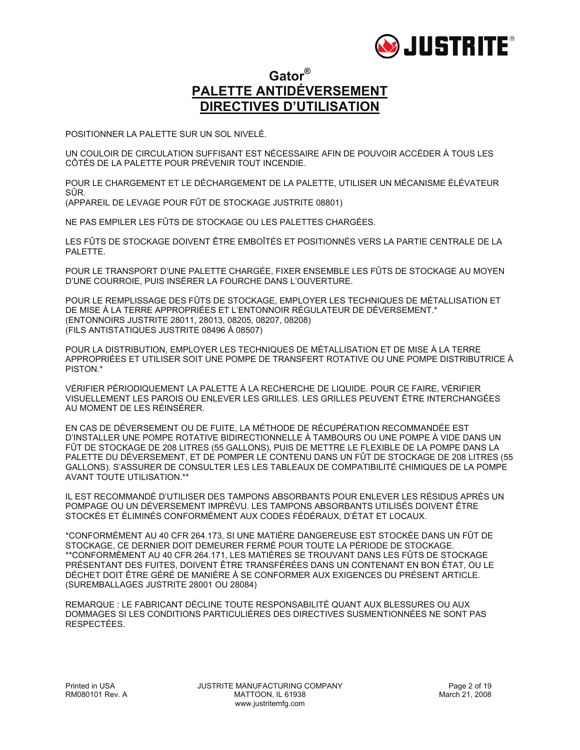

### **Gator® PALETTE ANTIDÉVERSEMENT DIRECTIVES D'UTILISATION**

POSITIONNER LA PALETTE SUR UN SOL NIVELÉ.

UN COULOIR DE CIRCULATION SUFFISANT EST NÉCESSAIRE AFIN DE POUVOIR ACCÉDER À TOUS LES CÔTÉS DE LA PALETTE POUR PRÉVENIR TOUT INCENDIE.

POUR LE CHARGEMENT ET LE DÉCHARGEMENT DE LA PALETTE, UTILISER UN MÉCANISME ÉLÉVATEUR SÛR. (APPAREIL DE LEVAGE POUR FÛT DE STOCKAGE JUSTRITE 08801)

NE PAS EMPILER LES FÛTS DE STOCKAGE OU LES PALETTES CHARGÉES.

LES FÛTS DE STOCKAGE DOIVENT ÊTRE EMBOÎTÉS ET POSITIONNÉS VERS LA PARTIE CENTRALE DE LA PALETTE.

POUR LE TRANSPORT D'UNE PALETTE CHARGÉE, FIXER ENSEMBLE LES FÛTS DE STOCKAGE AU MOYEN D'UNE COURROIE, PUIS INSÉRER LA FOURCHE DANS L'OUVERTURE.

POUR LE REMPLISSAGE DES FÛTS DE STOCKAGE, EMPLOYER LES TECHNIQUES DE MÉTALLISATION ET DE MISE À LA TERRE APPROPRIÉES ET L'ENTONNOIR RÉGULATEUR DE DÉVERSEMENT.\* (ENTONNOIRS JUSTRITE 28011, 28013, 08205, 08207, 08208) (FILS ANTISTATIQUES JUSTRITE 08496 À 08507)

POUR LA DISTRIBUTION, EMPLOYER LES TECHNIQUES DE MÉTALLISATION ET DE MISE À LA TERRE APPROPRIÉES ET UTILISER SOIT UNE POMPE DE TRANSFERT ROTATIVE OU UNE POMPE DISTRIBUTRICE À PISTON.\*

VÉRIFIER PÉRIODIQUEMENT LA PALETTE À LA RECHERCHE DE LIQUIDE. POUR CE FAIRE, VÉRIFIER VISUELLEMENT LES PAROIS OU ENLEVER LES GRILLES. LES GRILLES PEUVENT ÊTRE INTERCHANGÉES AU MOMENT DE LES RÉINSÉRER.

EN CAS DE DÉVERSEMENT OU DE FUITE, LA MÉTHODE DE RÉCUPÉRATION RECOMMANDÉE EST D'INSTALLER UNE POMPE ROTATIVE BIDIRECTIONNELLE À TAMBOURS OU UNE POMPE À VIDE DANS UN FÛT DE STOCKAGE DE 208 LITRES (55 GALLONS), PUIS DE METTRE LE FLEXIBLE DE LA POMPE DANS LA PALETTE DU DÉVERSEMENT, ET DE POMPER LE CONTENU DANS UN FÛT DE STOCKAGE DE 208 LITRES (55 GALLONS). S'ASSURER DE CONSULTER LES LES TABLEAUX DE COMPATIBILITÉ CHIMIQUES DE LA POMPE AVANT TOUTE UTILISATION.\*\*

IL EST RECOMMANDÉ D'UTILISER DES TAMPONS ABSORBANTS POUR ENLEVER LES RÉSIDUS APRÈS UN POMPAGE OU UN DÉVERSEMENT IMPRÉVU. LES TAMPONS ABSORBANTS UTILISÉS DOIVENT ÊTRE STOCKÉS ET ÉLIMINÉS CONFORMÉMENT AUX CODES FÉDÉRAUX, D'ÉTAT ET LOCAUX.

\*CONFORMÉMENT AU 40 CFR 264.173, SI UNE MATIÈRE DANGEREUSE EST STOCKÉE DANS UN FÛT DE STOCKAGE, CE DERNIER DOIT DEMEURER FERMÉ POUR TOUTE LA PÉRIODE DE STOCKAGE. \*\*CONFORMÉMENT AU 40 CFR 264.171, LES MATIÈRES SE TROUVANT DANS LES FÛTS DE STOCKAGE PRÉSENTANT DES FUITES, DOIVENT ÊTRE TRANSFÉRÉES DANS UN CONTENANT EN BON ÉTAT, OU LE DÉCHET DOIT ÊTRE GÉRÉ DE MANIÈRE À SE CONFORMER AUX EXIGENCES DU PRÉSENT ARTICLE. (SUREMBALLAGES JUSTRITE 28001 OU 28084)

REMARQUE : LE FABRICANT DÉCLINE TOUTE RESPONSABILITÉ QUANT AUX BLESSURES OU AUX DOMMAGES SI LES CONDITIONS PARTICULIÈRES DES DIRECTIVES SUSMENTIONNÉES NE SONT PAS RESPECTÉES.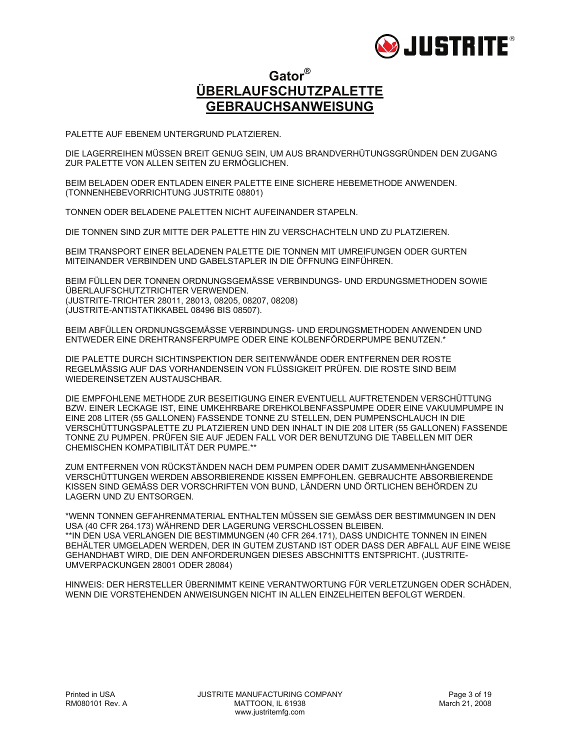

### **Gator® ÜBERLAUFSCHUTZPALETTE GEBRAUCHSANWEISUNG**

PALETTE AUF EBENEM UNTERGRUND PLATZIEREN.

DIE LAGERREIHEN MÜSSEN BREIT GENUG SEIN, UM AUS BRANDVERHÜTUNGSGRÜNDEN DEN ZUGANG ZUR PALETTE VON ALLEN SEITEN ZU ERMÖGLICHEN.

BEIM BELADEN ODER ENTLADEN EINER PALETTE EINE SICHERE HEBEMETHODE ANWENDEN. (TONNENHEBEVORRICHTUNG JUSTRITE 08801)

TONNEN ODER BELADENE PALETTEN NICHT AUFEINANDER STAPELN.

DIE TONNEN SIND ZUR MITTE DER PALETTE HIN ZU VERSCHACHTELN UND ZU PLATZIEREN.

BEIM TRANSPORT EINER BELADENEN PALETTE DIE TONNEN MIT UMREIFUNGEN ODER GURTEN MITEINANDER VERBINDEN UND GABELSTAPLER IN DIE ÖFFNUNG EINFÜHREN.

BEIM FÜLLEN DER TONNEN ORDNUNGSGEMÄSSE VERBINDUNGS- UND ERDUNGSMETHODEN SOWIE ÜBERLAUFSCHUTZTRICHTER VERWENDEN. (JUSTRITE-TRICHTER 28011, 28013, 08205, 08207, 08208) (JUSTRITE-ANTISTATIKKABEL 08496 BIS 08507).

BEIM ABFÜLLEN ORDNUNGSGEMÄSSE VERBINDUNGS- UND ERDUNGSMETHODEN ANWENDEN UND ENTWEDER EINE DREHTRANSFERPUMPE ODER EINE KOLBENFÖRDERPUMPE BENUTZEN.\*

DIE PALETTE DURCH SICHTINSPEKTION DER SEITENWÄNDE ODER ENTFERNEN DER ROSTE REGELMÄSSIG AUF DAS VORHANDENSEIN VON FLÜSSIGKEIT PRÜFEN. DIE ROSTE SIND BEIM WIEDEREINSETZEN AUSTAUSCHBAR.

DIE EMPFOHLENE METHODE ZUR BESEITIGUNG EINER EVENTUELL AUFTRETENDEN VERSCHÜTTUNG BZW. EINER LECKAGE IST, EINE UMKEHRBARE DREHKOLBENFASSPUMPE ODER EINE VAKUUMPUMPE IN EINE 208 LITER (55 GALLONEN) FASSENDE TONNE ZU STELLEN, DEN PUMPENSCHLAUCH IN DIE VERSCHÜTTUNGSPALETTE ZU PLATZIEREN UND DEN INHALT IN DIE 208 LITER (55 GALLONEN) FASSENDE TONNE ZU PUMPEN. PRÜFEN SIE AUF JEDEN FALL VOR DER BENUTZUNG DIE TABELLEN MIT DER CHEMISCHEN KOMPATIBILITÄT DER PUMPE.\*\*

ZUM ENTFERNEN VON RÜCKSTÄNDEN NACH DEM PUMPEN ODER DAMIT ZUSAMMENHÄNGENDEN VERSCHÜTTUNGEN WERDEN ABSORBIERENDE KISSEN EMPFOHLEN. GEBRAUCHTE ABSORBIERENDE KISSEN SIND GEMÄSS DER VORSCHRIFTEN VON BUND, LÄNDERN UND ÖRTLICHEN BEHÖRDEN ZU LAGERN UND ZU ENTSORGEN.

\*WENN TONNEN GEFAHRENMATERIAL ENTHALTEN MÜSSEN SIE GEMÄSS DER BESTIMMUNGEN IN DEN USA (40 CFR 264.173) WÄHREND DER LAGERUNG VERSCHLOSSEN BLEIBEN. \*\*IN DEN USA VERLANGEN DIE BESTIMMUNGEN (40 CFR 264.171), DASS UNDICHTE TONNEN IN EINEN BEHÄLTER UMGELADEN WERDEN, DER IN GUTEM ZUSTAND IST ODER DASS DER ABFALL AUF EINE WEISE GEHANDHABT WIRD, DIE DEN ANFORDERUNGEN DIESES ABSCHNITTS ENTSPRICHT. (JUSTRITE-UMVERPACKUNGEN 28001 ODER 28084)

HINWEIS: DER HERSTELLER ÜBERNIMMT KEINE VERANTWORTUNG FÜR VERLETZUNGEN ODER SCHÄDEN, WENN DIE VORSTEHENDEN ANWEISUNGEN NICHT IN ALLEN EINZELHEITEN BEFOLGT WERDEN.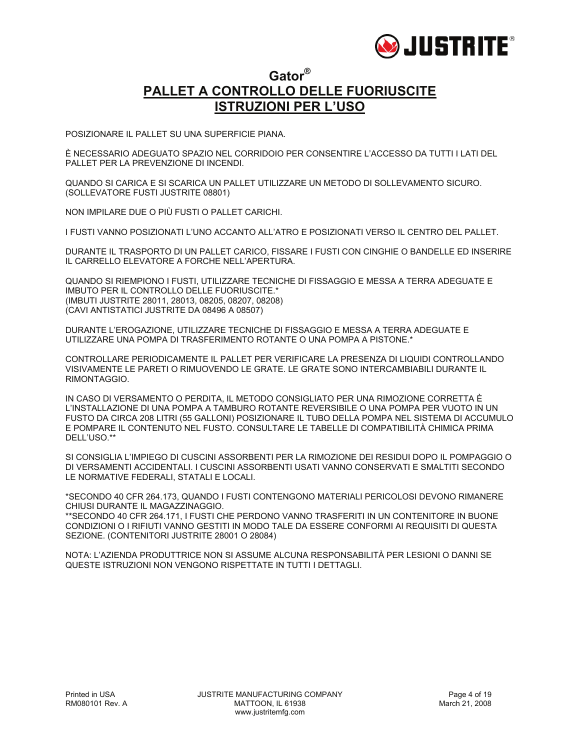

#### **Gator® PALLET A CONTROLLO DELLE FUORIUSCITE ISTRUZIONI PER L'USO**

POSIZIONARE IL PALLET SU UNA SUPERFICIE PIANA.

È NECESSARIO ADEGUATO SPAZIO NEL CORRIDOIO PER CONSENTIRE L'ACCESSO DA TUTTI I LATI DEL PALLET PER LA PREVENZIONE DI INCENDI.

QUANDO SI CARICA E SI SCARICA UN PALLET UTILIZZARE UN METODO DI SOLLEVAMENTO SICURO. (SOLLEVATORE FUSTI JUSTRITE 08801)

NON IMPILARE DUE O PIÙ FUSTI O PALLET CARICHI.

I FUSTI VANNO POSIZIONATI L'UNO ACCANTO ALL'ATRO E POSIZIONATI VERSO IL CENTRO DEL PALLET.

DURANTE IL TRASPORTO DI UN PALLET CARICO, FISSARE I FUSTI CON CINGHIE O BANDELLE ED INSERIRE IL CARRELLO ELEVATORE A FORCHE NELL'APERTURA.

QUANDO SI RIEMPIONO I FUSTI, UTILIZZARE TECNICHE DI FISSAGGIO E MESSA A TERRA ADEGUATE E IMBUTO PER IL CONTROLLO DELLE FUORIUSCITE.\* (IMBUTI JUSTRITE 28011, 28013, 08205, 08207, 08208) (CAVI ANTISTATICI JUSTRITE DA 08496 A 08507)

DURANTE L'EROGAZIONE, UTILIZZARE TECNICHE DI FISSAGGIO E MESSA A TERRA ADEGUATE E UTILIZZARE UNA POMPA DI TRASFERIMENTO ROTANTE O UNA POMPA A PISTONE.\*

CONTROLLARE PERIODICAMENTE IL PALLET PER VERIFICARE LA PRESENZA DI LIQUIDI CONTROLLANDO VISIVAMENTE LE PARETI O RIMUOVENDO LE GRATE. LE GRATE SONO INTERCAMBIABILI DURANTE IL RIMONTAGGIO.

IN CASO DI VERSAMENTO O PERDITA, IL METODO CONSIGLIATO PER UNA RIMOZIONE CORRETTA È L'INSTALLAZIONE DI UNA POMPA A TAMBURO ROTANTE REVERSIBILE O UNA POMPA PER VUOTO IN UN FUSTO DA CIRCA 208 LITRI (55 GALLONI) POSIZIONARE IL TUBO DELLA POMPA NEL SISTEMA DI ACCUMULO E POMPARE IL CONTENUTO NEL FUSTO. CONSULTARE LE TABELLE DI COMPATIBILITÀ CHIMICA PRIMA DELL'USO.\*\*

SI CONSIGLIA L'IMPIEGO DI CUSCINI ASSORBENTI PER LA RIMOZIONE DEI RESIDUI DOPO IL POMPAGGIO O DI VERSAMENTI ACCIDENTALI. I CUSCINI ASSORBENTI USATI VANNO CONSERVATI E SMALTITI SECONDO LE NORMATIVE FEDERALI, STATALI E LOCALI.

\*SECONDO 40 CFR 264.173, QUANDO I FUSTI CONTENGONO MATERIALI PERICOLOSI DEVONO RIMANERE CHIUSI DURANTE IL MAGAZZINAGGIO.

\*\*SECONDO 40 CFR 264.171, I FUSTI CHE PERDONO VANNO TRASFERITI IN UN CONTENITORE IN BUONE CONDIZIONI O I RIFIUTI VANNO GESTITI IN MODO TALE DA ESSERE CONFORMI AI REQUISITI DI QUESTA SEZIONE. (CONTENITORI JUSTRITE 28001 O 28084)

NOTA: L'AZIENDA PRODUTTRICE NON SI ASSUME ALCUNA RESPONSABILITÀ PER LESIONI O DANNI SE QUESTE ISTRUZIONI NON VENGONO RISPETTATE IN TUTTI I DETTAGLI.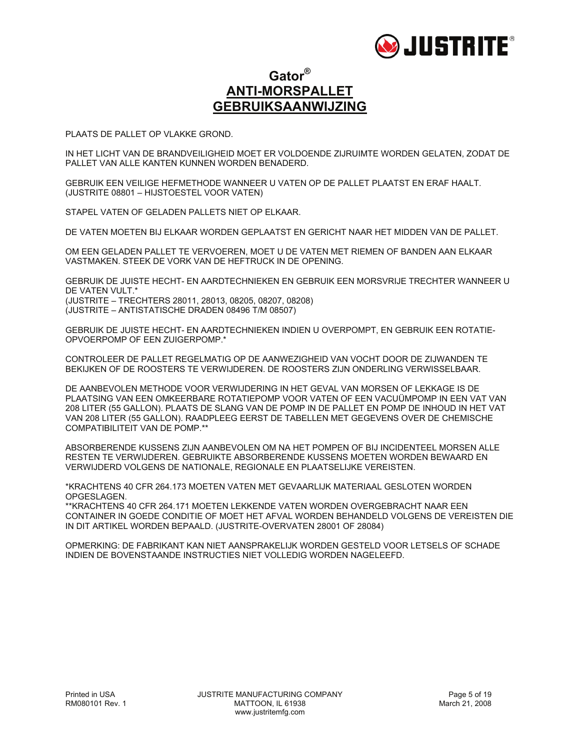

### **Gator® ANTI-MORSPALLET GEBRUIKSAANWIJZING**

PLAATS DE PALLET OP VLAKKE GROND.

IN HET LICHT VAN DE BRANDVEILIGHEID MOET ER VOLDOENDE ZIJRUIMTE WORDEN GELATEN, ZODAT DE PALLET VAN ALLE KANTEN KUNNEN WORDEN BENADERD.

GEBRUIK EEN VEILIGE HEFMETHODE WANNEER U VATEN OP DE PALLET PLAATST EN ERAF HAALT. (JUSTRITE 08801 – HIJSTOESTEL VOOR VATEN)

STAPEL VATEN OF GELADEN PALLETS NIET OP ELKAAR.

DE VATEN MOETEN BIJ ELKAAR WORDEN GEPLAATST EN GERICHT NAAR HET MIDDEN VAN DE PALLET.

OM EEN GELADEN PALLET TE VERVOEREN, MOET U DE VATEN MET RIEMEN OF BANDEN AAN ELKAAR VASTMAKEN. STEEK DE VORK VAN DE HEFTRUCK IN DE OPENING.

GEBRUIK DE JUISTE HECHT- EN AARDTECHNIEKEN EN GEBRUIK EEN MORSVRIJE TRECHTER WANNEER U DE VATEN VULT.\* (JUSTRITE – TRECHTERS 28011, 28013, 08205, 08207, 08208) (JUSTRITE – ANTISTATISCHE DRADEN 08496 T/M 08507)

GEBRUIK DE JUISTE HECHT- EN AARDTECHNIEKEN INDIEN U OVERPOMPT, EN GEBRUIK EEN ROTATIE-OPVOERPOMP OF EEN ZUIGERPOMP.\*

CONTROLEER DE PALLET REGELMATIG OP DE AANWEZIGHEID VAN VOCHT DOOR DE ZIJWANDEN TE BEKIJKEN OF DE ROOSTERS TE VERWIJDEREN. DE ROOSTERS ZIJN ONDERLING VERWISSELBAAR.

DE AANBEVOLEN METHODE VOOR VERWIJDERING IN HET GEVAL VAN MORSEN OF LEKKAGE IS DE PLAATSING VAN EEN OMKEERBARE ROTATIEPOMP VOOR VATEN OF EEN VACUÜMPOMP IN EEN VAT VAN 208 LITER (55 GALLON). PLAATS DE SLANG VAN DE POMP IN DE PALLET EN POMP DE INHOUD IN HET VAT VAN 208 LITER (55 GALLON). RAADPLEEG EERST DE TABELLEN MET GEGEVENS OVER DE CHEMISCHE COMPATIBILITEIT VAN DE POMP.\*\*

ABSORBERENDE KUSSENS ZIJN AANBEVOLEN OM NA HET POMPEN OF BIJ INCIDENTEEL MORSEN ALLE RESTEN TE VERWIJDEREN. GEBRUIKTE ABSORBERENDE KUSSENS MOETEN WORDEN BEWAARD EN VERWIJDERD VOLGENS DE NATIONALE, REGIONALE EN PLAATSELIJKE VEREISTEN.

\*KRACHTENS 40 CFR 264.173 MOETEN VATEN MET GEVAARLIJK MATERIAAL GESLOTEN WORDEN OPGESLAGEN.

\*\*KRACHTENS 40 CFR 264.171 MOETEN LEKKENDE VATEN WORDEN OVERGEBRACHT NAAR EEN CONTAINER IN GOEDE CONDITIE OF MOET HET AFVAL WORDEN BEHANDELD VOLGENS DE VEREISTEN DIE IN DIT ARTIKEL WORDEN BEPAALD. (JUSTRITE-OVERVATEN 28001 OF 28084)

OPMERKING: DE FABRIKANT KAN NIET AANSPRAKELIJK WORDEN GESTELD VOOR LETSELS OF SCHADE INDIEN DE BOVENSTAANDE INSTRUCTIES NIET VOLLEDIG WORDEN NAGELEEFD.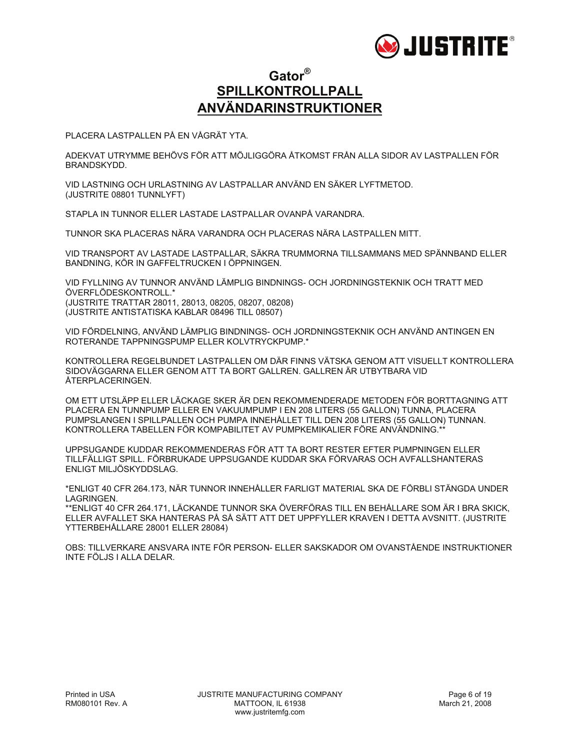

### **Gator® SPILLKONTROLLPALL ANVÄNDARINSTRUKTIONER**

PLACERA LASTPALLEN PÅ EN VÅGRÄT YTA.

ADEKVAT UTRYMME BEHÖVS FÖR ATT MÖJLIGGÖRA ÅTKOMST FRÅN ALLA SIDOR AV LASTPALLEN FÖR BRANDSKYDD.

VID LASTNING OCH URLASTNING AV LASTPALLAR ANVÄND EN SÄKER LYFTMETOD. (JUSTRITE 08801 TUNNLYFT)

STAPLA IN TUNNOR ELLER LASTADE LASTPALLAR OVANPÅ VARANDRA.

TUNNOR SKA PLACERAS NÄRA VARANDRA OCH PLACERAS NÄRA LASTPALLEN MITT.

VID TRANSPORT AV LASTADE LASTPALLAR, SÄKRA TRUMMORNA TILLSAMMANS MED SPÄNNBAND ELLER BANDNING, KÖR IN GAFFELTRUCKEN I ÖPPNINGEN.

VID FYLLNING AV TUNNOR ANVÄND LÄMPLIG BINDNINGS- OCH JORDNINGSTEKNIK OCH TRATT MED ÖVERFLÖDESKONTROLL.\* (JUSTRITE TRATTAR 28011, 28013, 08205, 08207, 08208) (JUSTRITE ANTISTATISKA KABLAR 08496 TILL 08507)

VID FÖRDELNING, ANVÄND LÄMPLIG BINDNINGS- OCH JORDNINGSTEKNIK OCH ANVÄND ANTINGEN EN ROTERANDE TAPPNINGSPUMP ELLER KOLVTRYCKPUMP.\*

KONTROLLERA REGELBUNDET LASTPALLEN OM DÄR FINNS VÄTSKA GENOM ATT VISUELLT KONTROLLERA SIDOVÄGGARNA ELLER GENOM ATT TA BORT GALLREN. GALLREN ÄR UTBYTBARA VID ÅTERPLACERINGEN.

OM ETT UTSLÄPP ELLER LÄCKAGE SKER ÄR DEN REKOMMENDERADE METODEN FÖR BORTTAGNING ATT PLACERA EN TUNNPUMP ELLER EN VAKUUMPUMP I EN 208 LITERS (55 GALLON) TUNNA, PLACERA PUMPSLANGEN I SPILLPALLEN OCH PUMPA INNEHÅLLET TILL DEN 208 LITERS (55 GALLON) TUNNAN. KONTROLLERA TABELLEN FÖR KOMPABILITET AV PUMPKEMIKALIER FÖRE ANVÄNDNING.\*\*

UPPSUGANDE KUDDAR REKOMMENDERAS FÖR ATT TA BORT RESTER EFTER PUMPNINGEN ELLER TILLFÄLLIGT SPILL. FÖRBRUKADE UPPSUGANDE KUDDAR SKA FÖRVARAS OCH AVFALLSHANTERAS ENLIGT MILJÖSKYDDSLAG.

\*ENLIGT 40 CFR 264.173, NÄR TUNNOR INNEHÅLLER FARLIGT MATERIAL SKA DE FÖRBLI STÄNGDA UNDER LAGRINGEN.

\*\*ENLIGT 40 CFR 264.171, LÄCKANDE TUNNOR SKA ÖVERFÖRAS TILL EN BEHÅLLARE SOM ÄR I BRA SKICK, ELLER AVFALLET SKA HANTERAS PÅ SÅ SÄTT ATT DET UPPFYLLER KRAVEN I DETTA AVSNITT. (JUSTRITE YTTERBEHÅLLARE 28001 ELLER 28084)

OBS: TILLVERKARE ANSVARA INTE FÖR PERSON- ELLER SAKSKADOR OM OVANSTÅENDE INSTRUKTIONER INTE FÖLJS I ALLA DELAR.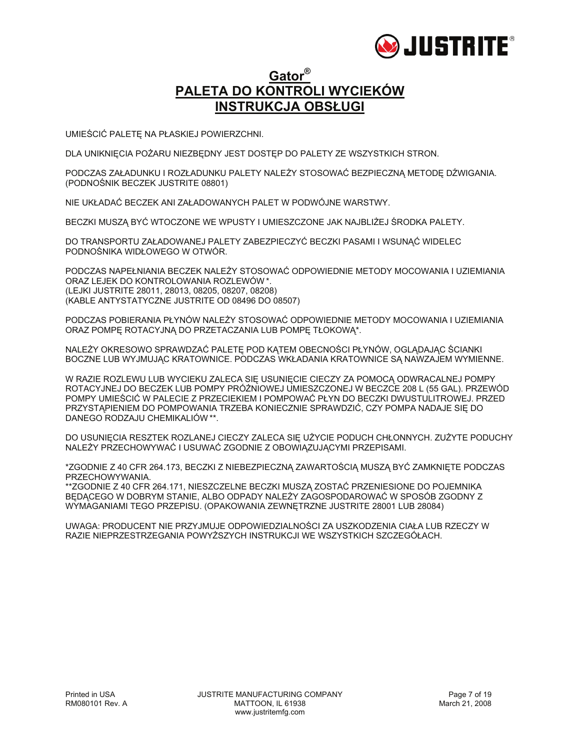

### **Gator® PALETA DO KONTROLI WYCIEKÓW INSTRUKCJA OBSŁUGI**

UMIEŚCIĆ PALETĘ NA PŁASKIEJ POWIERZCHNI.

DLA UNIKNIĘCIA POŻARU NIEZBĘDNY JEST DOSTĘP DO PALETY ZE WSZYSTKICH STRON.

PODCZAS ZAŁADUNKU I ROZŁADUNKU PALETY NALEŻY STOSOWAĆ BEZPIECZNĄ METODĘ DŹWIGANIA. (PODNOŚNIK BECZEK JUSTRITE 08801)

NIE UKŁADAĆ BECZEK ANI ZAŁADOWANYCH PALET W PODWÓJNE WARSTWY.

BECZKI MUSZĄ BYĆ WTOCZONE WE WPUSTY I UMIESZCZONE JAK NAJBLIŻEJ ŚRODKA PALETY.

DO TRANSPORTU ZAŁADOWANEJ PALETY ZABEZPIECZYĆ BECZKI PASAMI I WSUNĄĆ WIDELEC PODNOŚNIKA WIDŁOWEGO W OTWÓR.

PODCZAS NAPEŁNIANIA BECZEK NALEŻY STOSOWAĆ ODPOWIEDNIE METODY MOCOWANIA I UZIEMIANIA ORAZ LEJEK DO KONTROLOWANIA ROZLEWÓW \*. (LEJKI JUSTRITE 28011, 28013, 08205, 08207, 08208) (KABLE ANTYSTATYCZNE JUSTRITE OD 08496 DO 08507)

PODCZAS POBIERANIA PŁYNÓW NALEŻY STOSOWAĆ ODPOWIEDNIE METODY MOCOWANIA I UZIEMIANIA ORAZ POMPĘ ROTACYJNĄ DO PRZETACZANIA LUB POMPĘ TŁOKOWĄ\*.

NALEŻY OKRESOWO SPRAWDZAĆ PALETĘ POD KĄTEM OBECNOŚCI PŁYNÓW, OGLĄDAJĄC ŚCIANKI BOCZNE LUB WYJMUJĄC KRATOWNICE. PODCZAS WKŁADANIA KRATOWNICE SĄ NAWZAJEM WYMIENNE.

W RAZIE ROZLEWU LUB WYCIEKU ZALECA SIĘ USUNIĘCIE CIECZY ZA POMOCĄ ODWRACALNEJ POMPY ROTACYJNEJ DO BECZEK LUB POMPY PRÓŻNIOWEJ UMIESZCZONEJ W BECZCE 208 L (55 GAL). PRZEWÓD POMPY UMIEŚCIĆ W PALECIE Z PRZECIEKIEM I POMPOWAĆ PŁYN DO BECZKI DWUSTULITROWEJ. PRZED PRZYSTĄPIENIEM DO POMPOWANIA TRZEBA KONIECZNIE SPRAWDZIĆ, CZY POMPA NADAJE SIĘ DO DANEGO RODZAJU CHEMIKALIÓW \*\*.

DO USUNIĘCIA RESZTEK ROZLANEJ CIECZY ZALECA SIĘ UŻYCIE PODUCH CHŁONNYCH. ZUŻYTE PODUCHY NALEŻY PRZECHOWYWAĆ I USUWAĆ ZGODNIE Z OBOWIĄZUJĄCYMI PRZEPISAMI.

\*ZGODNIE Z 40 CFR 264.173, BECZKI Z NIEBEZPIECZNĄ ZAWARTOŚCIĄ MUSZĄ BYĆ ZAMKNIĘTE PODCZAS PRZECHOWYWANIA.

\*\*ZGODNIE Z 40 CFR 264.171, NIESZCZELNE BECZKI MUSZĄ ZOSTAĆ PRZENIESIONE DO POJEMNIKA BĘDĄCEGO W DOBRYM STANIE, ALBO ODPADY NALEŻY ZAGOSPODAROWAĆ W SPOSÓB ZGODNY Z WYMAGANIAMI TEGO PRZEPISU. (OPAKOWANIA ZEWNĘTRZNE JUSTRITE 28001 LUB 28084)

UWAGA: PRODUCENT NIE PRZYJMUJE ODPOWIEDZIALNOŚCI ZA USZKODZENIA CIAŁA LUB RZECZY W RAZIE NIEPRZESTRZEGANIA POWYŻSZYCH INSTRUKCJI WE WSZYSTKICH SZCZEGÓŁACH.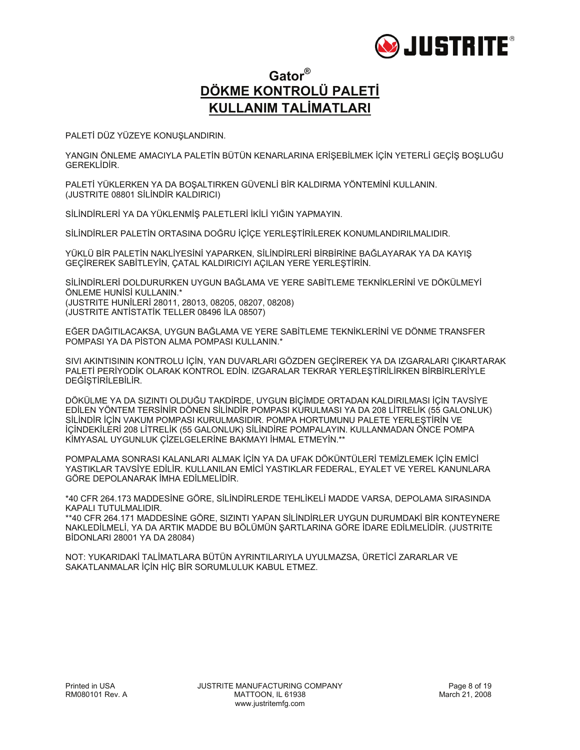

### **Gator® DÖKME KONTROLÜ PALETİ KULLANIM TALİMATLARI**

PALETİ DÜZ YÜZEYE KONUŞLANDIRIN.

YANGIN ÖNLEME AMACIYLA PALETİN BÜTÜN KENARLARINA ERİŞEBİLMEK İÇİN YETERLİ GEÇİŞ BOŞLUĞU GEREKLİDİR.

PALETİ YÜKLERKEN YA DA BOŞALTIRKEN GÜVENLİ BİR KALDIRMA YÖNTEMİNİ KULLANIN. (JUSTRITE 08801 SİLİNDİR KALDIRICI)

SİLİNDİRLERİ YA DA YÜKLENMİŞ PALETLERİ İKİLİ YIĞIN YAPMAYIN.

SİLİNDİRLER PALETİN ORTASINA DOĞRU İÇİÇE YERLEŞTİRİLEREK KONUMLANDIRILMALIDIR.

YÜKLÜ BİR PALETİN NAKLİYESİNİ YAPARKEN, SİLİNDİRLERİ BİRBİRİNE BAĞLAYARAK YA DA KAYIŞ GEÇİREREK SABİTLEYİN, ÇATAL KALDIRICIYI AÇILAN YERE YERLEŞTİRİN.

SİLİNDİRLERİ DOLDURURKEN UYGUN BAĞLAMA VE YERE SABİTLEME TEKNİKLERİNİ VE DÖKÜLMEYİ ÖNLEME HUNİSİ KULLANIN.\* (JUSTRITE HUNİLERİ 28011, 28013, 08205, 08207, 08208) (JUSTRITE ANTİSTATİK TELLER 08496 İLA 08507)

EĞER DAĞITILACAKSA, UYGUN BAĞLAMA VE YERE SABİTLEME TEKNİKLERİNİ VE DÖNME TRANSFER POMPASI YA DA PİSTON ALMA POMPASI KULLANIN.\*

SIVI AKINTISININ KONTROLU İÇİN, YAN DUVARLARI GÖZDEN GEÇİREREK YA DA IZGARALARI ÇIKARTARAK PALETİ PERİYODİK OLARAK KONTROL EDİN. IZGARALAR TEKRAR YERLEŞTİRİLİRKEN BİRBİRLERİYLE DEĞİŞTİRİLEBİLİR.

DÖKÜLME YA DA SIZINTI OLDUĞU TAKDİRDE, UYGUN BİÇİMDE ORTADAN KALDIRILMASI İÇİN TAVSİYE EDİLEN YÖNTEM TERSİNİR DÖNEN SİLİNDİR POMPASI KURULMASI YA DA 208 LİTRELİK (55 GALONLUK) SİLİNDİR İÇİN VAKUM POMPASI KURULMASIDIR. POMPA HORTUMUNU PALETE YERLEŞTİRİN VE İÇİNDEKİLERİ 208 LİTRELİK (55 GALONLUK) SİLİNDİRE POMPALAYIN. KULLANMADAN ÖNCE POMPA KİMYASAL UYGUNLUK ÇİZELGELERİNE BAKMAYI İHMAL ETMEYİN.\*\*

POMPALAMA SONRASI KALANLARI ALMAK İÇİN YA DA UFAK DÖKÜNTÜLERİ TEMİZLEMEK İÇİN EMİCİ YASTIKLAR TAVSİYE EDİLİR. KULLANILAN EMİCİ YASTIKLAR FEDERAL, EYALET VE YEREL KANUNLARA GÖRE DEPOLANARAK İMHA EDİLMELİDİR.

\*40 CFR 264.173 MADDESİNE GÖRE, SİLİNDİRLERDE TEHLİKELİ MADDE VARSA, DEPOLAMA SIRASINDA KAPALI TUTULMALIDIR.

\*\*40 CFR 264.171 MADDESİNE GÖRE, SIZINTI YAPAN SİLİNDİRLER UYGUN DURUMDAKİ BİR KONTEYNERE NAKLEDİLMELİ, YA DA ARTIK MADDE BU BÖLÜMÜN ŞARTLARINA GÖRE İDARE EDİLMELİDİR. (JUSTRITE BİDONLARI 28001 YA DA 28084)

NOT: YUKARIDAKİ TALİMATLARA BÜTÜN AYRINTILARIYLA UYULMAZSA, ÜRETİCİ ZARARLAR VE SAKATLANMALAR İÇİN HİÇ BİR SORUMLULUK KABUL ETMEZ.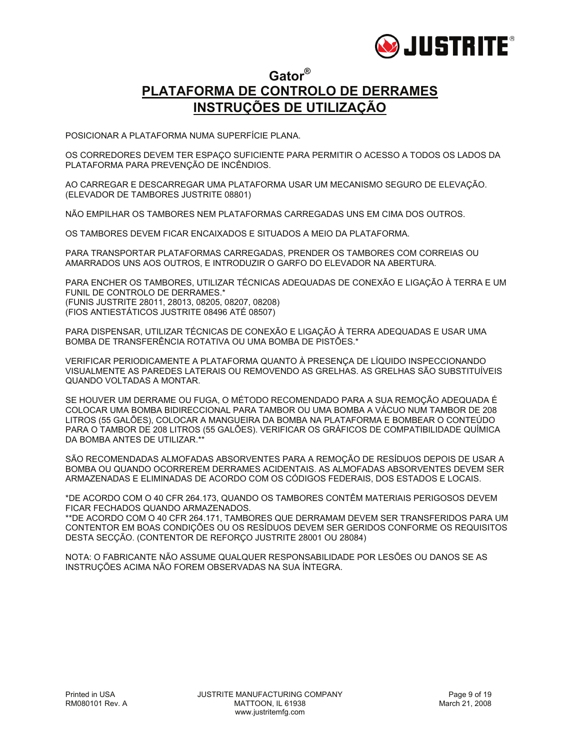

### **Gator® PLATAFORMA DE CONTROLO DE DERRAMES INSTRUÇÕES DE UTILIZAÇÃO**

POSICIONAR A PLATAFORMA NUMA SUPERFÍCIE PLANA.

OS CORREDORES DEVEM TER ESPAÇO SUFICIENTE PARA PERMITIR O ACESSO A TODOS OS LADOS DA PLATAFORMA PARA PREVENÇÃO DE INCÊNDIOS.

AO CARREGAR E DESCARREGAR UMA PLATAFORMA USAR UM MECANISMO SEGURO DE ELEVAÇÃO. (ELEVADOR DE TAMBORES JUSTRITE 08801)

NÃO EMPILHAR OS TAMBORES NEM PLATAFORMAS CARREGADAS UNS EM CIMA DOS OUTROS.

OS TAMBORES DEVEM FICAR ENCAIXADOS E SITUADOS A MEIO DA PLATAFORMA.

PARA TRANSPORTAR PLATAFORMAS CARREGADAS, PRENDER OS TAMBORES COM CORREIAS OU AMARRADOS UNS AOS OUTROS, E INTRODUZIR O GARFO DO ELEVADOR NA ABERTURA.

PARA ENCHER OS TAMBORES, UTILIZAR TÉCNICAS ADEQUADAS DE CONEXÃO E LIGAÇÃO À TERRA E UM FUNIL DE CONTROLO DE DERRAMES.\* (FUNIS JUSTRITE 28011, 28013, 08205, 08207, 08208) (FIOS ANTIESTÁTICOS JUSTRITE 08496 ATÉ 08507)

PARA DISPENSAR, UTILIZAR TÉCNICAS DE CONEXÃO E LIGAÇÃO À TERRA ADEQUADAS E USAR UMA BOMBA DE TRANSFERÊNCIA ROTATIVA OU UMA BOMBA DE PISTÕES.\*

VERIFICAR PERIODICAMENTE A PLATAFORMA QUANTO À PRESENÇA DE LÍQUIDO INSPECCIONANDO VISUALMENTE AS PAREDES LATERAIS OU REMOVENDO AS GRELHAS. AS GRELHAS SÃO SUBSTITUÍVEIS QUANDO VOLTADAS A MONTAR.

SE HOUVER UM DERRAME OU FUGA, O MÉTODO RECOMENDADO PARA A SUA REMOÇÃO ADEQUADA É COLOCAR UMA BOMBA BIDIRECCIONAL PARA TAMBOR OU UMA BOMBA A VÁCUO NUM TAMBOR DE 208 LITROS (55 GALÕES), COLOCAR A MANGUEIRA DA BOMBA NA PLATAFORMA E BOMBEAR O CONTEÚDO PARA O TAMBOR DE 208 LITROS (55 GALÕES). VERIFICAR OS GRÁFICOS DE COMPATIBILIDADE QUÍMICA DA BOMBA ANTES DE UTILIZAR.\*\*

SÃO RECOMENDADAS ALMOFADAS ABSORVENTES PARA A REMOÇÃO DE RESÍDUOS DEPOIS DE USAR A BOMBA OU QUANDO OCORREREM DERRAMES ACIDENTAIS. AS ALMOFADAS ABSORVENTES DEVEM SER ARMAZENADAS E ELIMINADAS DE ACORDO COM OS CÓDIGOS FEDERAIS, DOS ESTADOS E LOCAIS.

\*DE ACORDO COM O 40 CFR 264.173, QUANDO OS TAMBORES CONTÊM MATERIAIS PERIGOSOS DEVEM FICAR FECHADOS QUANDO ARMAZENADOS.

\*\*DE ACORDO COM O 40 CFR 264.171, TAMBORES QUE DERRAMAM DEVEM SER TRANSFERIDOS PARA UM CONTENTOR EM BOAS CONDIÇÕES OU OS RESÍDUOS DEVEM SER GERIDOS CONFORME OS REQUISITOS DESTA SECÇÃO. (CONTENTOR DE REFORÇO JUSTRITE 28001 OU 28084)

NOTA: O FABRICANTE NÃO ASSUME QUALQUER RESPONSABILIDADE POR LESÕES OU DANOS SE AS INSTRUÇÕES ACIMA NÃO FOREM OBSERVADAS NA SUA ÍNTEGRA.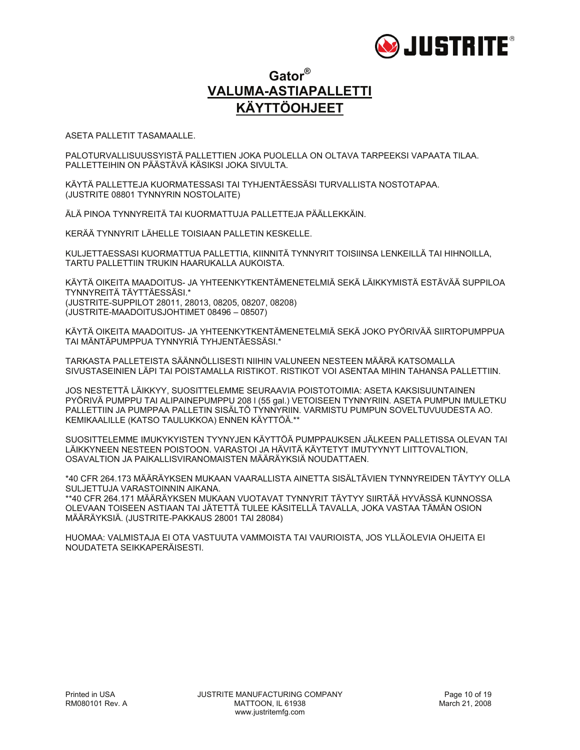

### **Gator® VALUMA-ASTIAPALLETTI KÄYTTÖOHJEET**

ASETA PALLETIT TASAMAALLE.

PALOTURVALLISUUSSYISTÄ PALLETTIEN JOKA PUOLELLA ON OLTAVA TARPEEKSI VAPAATA TILAA. PALLETTEIHIN ON PÄÄSTÄVÄ KÄSIKSI JOKA SIVULTA.

KÄYTÄ PALLETTEJA KUORMATESSASI TAI TYHJENTÄESSÄSI TURVALLISTA NOSTOTAPAA. (JUSTRITE 08801 TYNNYRIN NOSTOLAITE)

ÄLÄ PINOA TYNNYREITÄ TAI KUORMATTUJA PALLETTEJA PÄÄLLEKKÄIN.

KERÄÄ TYNNYRIT LÄHELLE TOISIAAN PALLETIN KESKELLE.

KULJETTAESSASI KUORMATTUA PALLETTIA, KIINNITÄ TYNNYRIT TOISIINSA LENKEILLÄ TAI HIHNOILLA, TARTU PALLETTIIN TRUKIN HAARUKALLA AUKOISTA.

KÄYTÄ OIKEITA MAADOITUS- JA YHTEENKYTKENTÄMENETELMIÄ SEKÄ LÄIKKYMISTÄ ESTÄVÄÄ SUPPILOA TYNNYREITÄ TÄYTTÄESSÄSI.\* (JUSTRITE-SUPPILOT 28011, 28013, 08205, 08207, 08208) (JUSTRITE-MAADOITUSJOHTIMET 08496 – 08507)

KÄYTÄ OIKEITA MAADOITUS- JA YHTEENKYTKENTÄMENETELMIÄ SEKÄ JOKO PYÖRIVÄÄ SIIRTOPUMPPUA TAI MÄNTÄPUMPPUA TYNNYRIÄ TYHJENTÄESSÄSI.\*

TARKASTA PALLETEISTA SÄÄNNÖLLISESTI NIIHIN VALUNEEN NESTEEN MÄÄRÄ KATSOMALLA SIVUSTASEINIEN LÄPI TAI POISTAMALLA RISTIKOT. RISTIKOT VOI ASENTAA MIHIN TAHANSA PALLETTIIN.

JOS NESTETTÄ LÄIKKYY, SUOSITTELEMME SEURAAVIA POISTOTOIMIA: ASETA KAKSISUUNTAINEN PYÖRIVÄ PUMPPU TAI ALIPAINEPUMPPU 208 l (55 gal.) VETOISEEN TYNNYRIIN. ASETA PUMPUN IMULETKU PALLETTIIN JA PUMPPAA PALLETIN SISÄLTÖ TYNNYRIIN. VARMISTU PUMPUN SOVELTUVUUDESTA AO. KEMIKAALILLE (KATSO TAULUKKOA) ENNEN KÄYTTÖÄ.\*\*

SUOSITTELEMME IMUKYKYISTEN TYYNYJEN KÄYTTÖÄ PUMPPAUKSEN JÄLKEEN PALLETISSA OLEVAN TAI LÄIKKYNEEN NESTEEN POISTOON. VARASTOI JA HÄVITÄ KÄYTETYT IMUTYYNYT LIITTOVALTION, OSAVALTION JA PAIKALLISVIRANOMAISTEN MÄÄRÄYKSIÄ NOUDATTAEN.

\*40 CFR 264.173 MÄÄRÄYKSEN MUKAAN VAARALLISTA AINETTA SISÄLTÄVIEN TYNNYREIDEN TÄYTYY OLLA SULJETTUJA VARASTOINNIN AIKANA.

\*\*40 CFR 264.171 MÄÄRÄYKSEN MUKAAN VUOTAVAT TYNNYRIT TÄYTYY SIIRTÄÄ HYVÄSSÄ KUNNOSSA OLEVAAN TOISEEN ASTIAAN TAI JÄTETTÄ TULEE KÄSITELLÄ TAVALLA, JOKA VASTAA TÄMÄN OSION MÄÄRÄYKSIÄ. (JUSTRITE-PAKKAUS 28001 TAI 28084)

HUOMAA: VALMISTAJA EI OTA VASTUUTA VAMMOISTA TAI VAURIOISTA, JOS YLLÄOLEVIA OHJEITA EI NOUDATETA SEIKKAPERÄISESTI.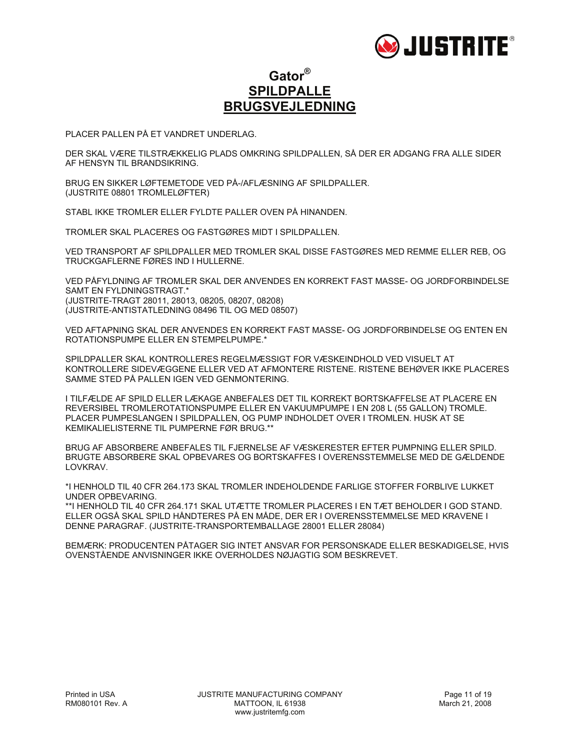

### **Gator® SPILDPALLE BRUGSVEJLEDNING**

PLACER PALLEN PÅ ET VANDRET UNDERLAG.

DER SKAL VÆRE TILSTRÆKKELIG PLADS OMKRING SPILDPALLEN, SÅ DER ER ADGANG FRA ALLE SIDER AF HENSYN TIL BRANDSIKRING.

BRUG EN SIKKER LØFTEMETODE VED PÅ-/AFLÆSNING AF SPILDPALLER. (JUSTRITE 08801 TROMLELØFTER)

STABL IKKE TROMLER ELLER FYLDTE PALLER OVEN PÅ HINANDEN.

TROMLER SKAL PLACERES OG FASTGØRES MIDT I SPILDPALLEN.

VED TRANSPORT AF SPILDPALLER MED TROMLER SKAL DISSE FASTGØRES MED REMME ELLER REB, OG TRUCKGAFLERNE FØRES IND I HULLERNE.

VED PÅFYLDNING AF TROMLER SKAL DER ANVENDES EN KORREKT FAST MASSE- OG JORDFORBINDELSE SAMT EN FYLDNINGSTRAGT.\* (JUSTRITE-TRAGT 28011, 28013, 08205, 08207, 08208) (JUSTRITE-ANTISTATLEDNING 08496 TIL OG MED 08507)

VED AFTAPNING SKAL DER ANVENDES EN KORREKT FAST MASSE- OG JORDFORBINDELSE OG ENTEN EN ROTATIONSPUMPE ELLER EN STEMPELPUMPE.\*

SPILDPALLER SKAL KONTROLLERES REGELMÆSSIGT FOR VÆSKEINDHOLD VED VISUELT AT KONTROLLERE SIDEVÆGGENE ELLER VED AT AFMONTERE RISTENE. RISTENE BEHØVER IKKE PLACERES SAMME STED PÅ PALLEN IGEN VED GENMONTERING.

I TILFÆLDE AF SPILD ELLER LÆKAGE ANBEFALES DET TIL KORREKT BORTSKAFFELSE AT PLACERE EN REVERSIBEL TROMLEROTATIONSPUMPE ELLER EN VAKUUMPUMPE I EN 208 L (55 GALLON) TROMLE. PLACER PUMPESLANGEN I SPILDPALLEN, OG PUMP INDHOLDET OVER I TROMLEN. HUSK AT SE KEMIKALIELISTERNE TIL PUMPERNE FØR BRUG.\*\*

BRUG AF ABSORBERE ANBEFALES TIL FJERNELSE AF VÆSKERESTER EFTER PUMPNING ELLER SPILD. BRUGTE ABSORBERE SKAL OPBEVARES OG BORTSKAFFES I OVERENSSTEMMELSE MED DE GÆLDENDE LOVKRAV.

\*I HENHOLD TIL 40 CFR 264.173 SKAL TROMLER INDEHOLDENDE FARLIGE STOFFER FORBLIVE LUKKET UNDER OPBEVARING.

\*\*I HENHOLD TIL 40 CFR 264.171 SKAL UTÆTTE TROMLER PLACERES I EN TÆT BEHOLDER I GOD STAND. ELLER OGSÅ SKAL SPILD HÅNDTERES PÅ EN MÅDE, DER ER I OVERENSSTEMMELSE MED KRAVENE I DENNE PARAGRAF. (JUSTRITE-TRANSPORTEMBALLAGE 28001 ELLER 28084)

BEMÆRK: PRODUCENTEN PÅTAGER SIG INTET ANSVAR FOR PERSONSKADE ELLER BESKADIGELSE, HVIS OVENSTÅENDE ANVISNINGER IKKE OVERHOLDES NØJAGTIG SOM BESKREVET.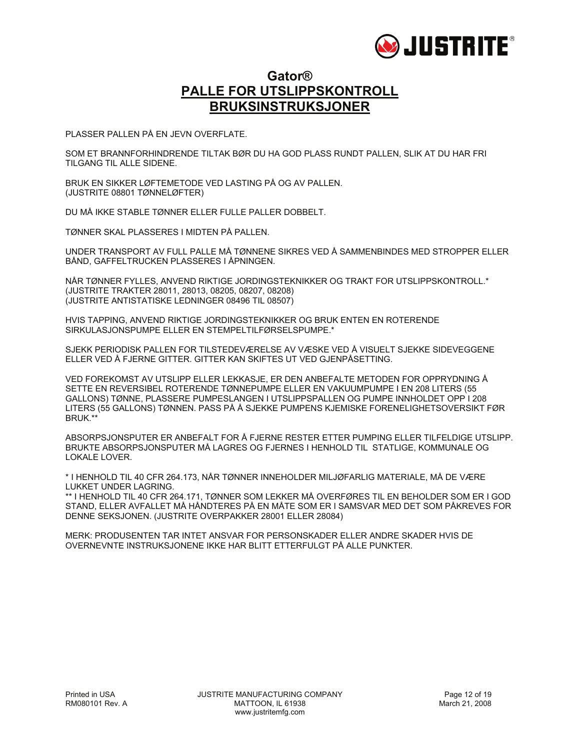

#### **Gator® PALLE FOR UTSLIPPSKONTROLL BRUKSINSTRUKSJONER**

PLASSER PALLEN PÅ EN JEVN OVERFLATE.

SOM ET BRANNFORHINDRENDE TILTAK BØR DU HA GOD PLASS RUNDT PALLEN, SLIK AT DU HAR FRI TILGANG TIL ALLE SIDENE.

BRUK EN SIKKER LØFTEMETODE VED LASTING PÅ OG AV PALLEN. (JUSTRITE 08801 TØNNELØFTER)

DU MÅ IKKE STABLE TØNNER ELLER FULLE PALLER DOBBELT.

TØNNER SKAL PLASSERES I MIDTEN PÅ PALLEN.

UNDER TRANSPORT AV FULL PALLE MÅ TØNNENE SIKRES VED Å SAMMENBINDES MED STROPPER ELLER BÅND, GAFFELTRUCKEN PLASSERES I ÅPNINGEN.

NÅR TØNNER FYLLES, ANVEND RIKTIGE JORDINGSTEKNIKKER OG TRAKT FOR UTSLIPPSKONTROLL.\* (JUSTRITE TRAKTER 28011, 28013, 08205, 08207, 08208) (JUSTRITE ANTISTATISKE LEDNINGER 08496 TIL 08507)

HVIS TAPPING, ANVEND RIKTIGE JORDINGSTEKNIKKER OG BRUK ENTEN EN ROTERENDE SIRKULASJONSPUMPE ELLER EN STEMPELTILFØRSELSPUMPE.\*

SJEKK PERIODISK PALLEN FOR TILSTEDEVÆRELSE AV VÆSKE VED Å VISUELT SJEKKE SIDEVEGGENE ELLER VED Å FJERNE GITTER. GITTER KAN SKIFTES UT VED GJENPÅSETTING.

VED FOREKOMST AV UTSLIPP ELLER LEKKASJE, ER DEN ANBEFALTE METODEN FOR OPPRYDNING Å SETTE EN REVERSIBEL ROTERENDE TØNNEPUMPE ELLER EN VAKUUMPUMPE I EN 208 LITERS (55 GALLONS) TØNNE, PLASSERE PUMPESLANGEN I UTSLIPPSPALLEN OG PUMPE INNHOLDET OPP I 208 LITERS (55 GALLONS) TØNNEN. PASS PÅ Å SJEKKE PUMPENS KJEMISKE FORENELIGHETSOVERSIKT FØR BRUK.\*\*

ABSORPSJONSPUTER ER ANBEFALT FOR Å FJERNE RESTER ETTER PUMPING ELLER TILFELDIGE UTSLIPP. BRUKTE ABSORPSJONSPUTER MÅ LAGRES OG FJERNES I HENHOLD TIL STATLIGE, KOMMUNALE OG LOKALE LOVER.

\* I HENHOLD TIL 40 CFR 264.173, NÅR TØNNER INNEHOLDER MILJØFARLIG MATERIALE, MÅ DE VÆRE LUKKET UNDER LAGRING.

\*\* I HENHOLD TIL 40 CFR 264.171, TØNNER SOM LEKKER MÅ OVERFØRES TIL EN BEHOLDER SOM ER I GOD STAND, ELLER AVFALLET MÅ HÅNDTERES PÅ EN MÅTE SOM ER I SAMSVAR MED DET SOM PÅKREVES FOR DENNE SEKSJONEN. (JUSTRITE OVERPAKKER 28001 ELLER 28084)

MERK: PRODUSENTEN TAR INTET ANSVAR FOR PERSONSKADER ELLER ANDRE SKADER HVIS DE OVERNEVNTE INSTRUKSJONENE IKKE HAR BLITT ETTERFULGT PÅ ALLE PUNKTER.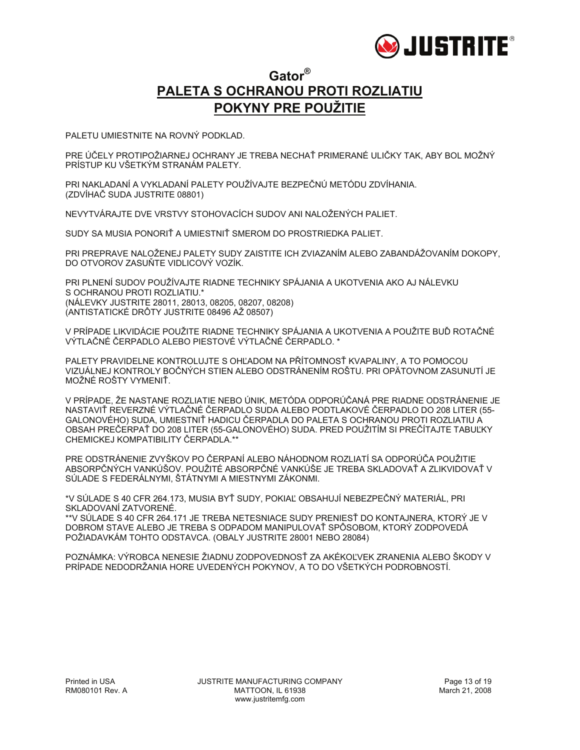

### **Gator® PALETA S OCHRANOU PROTI ROZLIATIU POKYNY PRE POUŽITIE**

PALETU UMIESTNITE NA ROVNÝ PODKLAD.

PRE ÚČELY PROTIPOŽIARNEJ OCHRANY JE TREBA NECHAŤ PRIMERANÉ ULIČKY TAK, ABY BOL MOŽNÝ PRÍSTUP KU VŠETKÝM STRANÁM PALETY.

PRI NAKLADANÍ A VYKLADANÍ PALETY POUŽÍVAJTE BEZPEČNÚ METÓDU ZDVÍHANIA. (ZDVÍHAČ SUDA JUSTRITE 08801)

NEVYTVÁRAJTE DVE VRSTVY STOHOVACÍCH SUDOV ANI NALOŽENÝCH PALIET.

SUDY SA MUSIA PONORIŤ A UMIESTNIŤ SMEROM DO PROSTRIEDKA PALIET.

PRI PREPRAVE NALOŽENEJ PALETY SUDY ZAISTITE ICH ZVIAZANÍM ALEBO ZABANDÁŽOVANÍM DOKOPY, DO OTVOROV ZASUŇTE VIDLICOVÝ VOZÍK.

PRI PLNENÍ SUDOV POUŽÍVAJTE RIADNE TECHNIKY SPÁJANIA A UKOTVENIA AKO AJ NÁLEVKU S OCHRANOU PROTI ROZLIATIU.\* (NÁLEVKY JUSTRITE 28011, 28013, 08205, 08207, 08208) (ANTISTATICKÉ DRÔTY JUSTRITE 08496 AŽ 08507)

V PRÍPADE LIKVIDÁCIE POUŽITE RIADNE TECHNIKY SPÁJANIA A UKOTVENIA A POUŽITE BUĎ ROTAČNÉ VÝTLAČNÉ ČERPADLO ALEBO PIESTOVÉ VÝTLAČNÉ ČERPADLO. \*

PALETY PRAVIDELNE KONTROLUJTE S OHĽADOM NA PŘÍTOMNOSŤ KVAPALINY, A TO POMOCOU VIZUÁLNEJ KONTROLY BOČNÝCH STIEN ALEBO ODSTRÁNENÍM ROŠTU. PRI OPÄTOVNOM ZASUNUTÍ JE MOŽNÉ ROŠTY VYMENIŤ.

V PRÍPADE, ŽE NASTANE ROZLIATIE NEBO ÚNIK, METÓDA ODPORÚČANÁ PRE RIADNE ODSTRÁNENIE JE NASTAVIŤ REVERZNÉ VÝTLAČNÉ ČERPADLO SUDA ALEBO PODTLAKOVÉ ČERPADLO DO 208 LITER (55- GALONOVÉHO) SUDA, UMIESTNIŤ HADICU ČERPADLA DO PALETA S OCHRANOU PROTI ROZLIATIU A OBSAH PREČERPAŤ DO 208 LITER (55-GALONOVÉHO) SUDA. PRED POUŽITÍM SI PREČÍTAJTE TABUĽKY CHEMICKEJ KOMPATIBILITY ČERPADLA.\*\*

PRE ODSTRÁNENIE ZVYŠKOV PO ČERPANÍ ALEBO NÁHODNOM ROZLIATÍ SA ODPORÚČA POUŽITIE ABSORPČNÝCH VANKÚŠOV. POUŽITÉ ABSORPČNÉ VANKÚŠE JE TREBA SKLADOVAŤ A ZLIKVIDOVAŤ V SÚLADE S FEDERÁLNYMI, ŠTÁTNYMI A MIESTNYMI ZÁKONMI.

\*V SÚLADE S 40 CFR 264.173, MUSIA BYŤ SUDY, POKIAĽ OBSAHUJÍ NEBEZPEČNÝ MATERIÁL, PRI SKLADOVANÍ ZATVORENÉ.

\*\*V SÚLADE S 40 CFR 264.171 JE TREBA NETESNIACE SUDY PRENIESŤ DO KONTAJNERA, KTORÝ JE V DOBROM STAVE ALEBO JE TREBA S ODPADOM MANIPULOVAŤ SPÔSOBOM, KTORÝ ZODPOVEDÁ POŽIADAVKÁM TOHTO ODSTAVCA. (OBALY JUSTRITE 28001 NEBO 28084)

POZNÁMKA: VÝROBCA NENESIE ŽIADNU ZODPOVEDNOSŤ ZA AKÉKOĽVEK ZRANENIA ALEBO ŠKODY V PRÍPADE NEDODRŽANIA HORE UVEDENÝCH POKYNOV, A TO DO VŠETKÝCH PODROBNOSTÍ.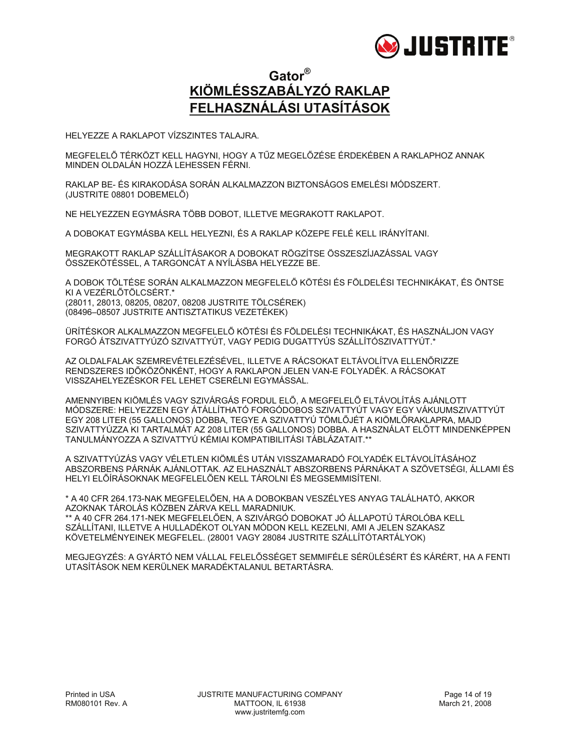

### **Gator® KIÖMLÉSSZABÁLYZÓ RAKLAP FELHASZNÁLÁSI UTASÍTÁSOK**

HELYEZZE A RAKLAPOT VÍZSZINTES TALAJRA.

MEGFELELŐ TÉRKÖZT KELL HAGYNI, HOGY A TŰZ MEGELŐZÉSE ÉRDEKÉBEN A RAKLAPHOZ ANNAK MINDEN OLDALÁN HOZZÁ LEHESSEN FÉRNI.

RAKLAP BE- ÉS KIRAKODÁSA SORÁN ALKALMAZZON BIZTONSÁGOS EMELÉSI MÓDSZERT. (JUSTRITE 08801 DOBEMELŐ)

NE HELYEZZEN EGYMÁSRA TÖBB DOBOT, ILLETVE MEGRAKOTT RAKLAPOT.

A DOBOKAT EGYMÁSBA KELL HELYEZNI, ÉS A RAKLAP KÖZEPE FELÉ KELL IRÁNYÍTANI.

MEGRAKOTT RAKLAP SZÁLLÍTÁSAKOR A DOBOKAT RÖGZÍTSE ÖSSZESZÍJAZÁSSAL VAGY ÖSSZEKÖTÉSSEL, A TARGONCÁT A NYÍLÁSBA HELYEZZE BE.

A DOBOK TÖLTÉSE SORÁN ALKALMAZZON MEGFELELŐ KÖTÉSI ÉS FÖLDELÉSI TECHNIKÁKAT, ÉS ÖNTSE KI A VEZÉRLŐTÖLCSÉRT.\* (28011, 28013, 08205, 08207, 08208 JUSTRITE TÖLCSÉREK) (08496–08507 JUSTRITE ANTISZTATIKUS VEZETÉKEK)

ÜRÍTÉSKOR ALKALMAZZON MEGFELELŐ KÖTÉSI ÉS FÖLDELÉSI TECHNIKÁKAT, ÉS HASZNÁLJON VAGY FORGÓ ÁTSZIVATTYÚZÓ SZIVATTYÚT, VAGY PEDIG DUGATTYÚS SZÁLLÍTÓSZIVATTYÚT.\*

AZ OLDALFALAK SZEMREVÉTELEZÉSÉVEL, ILLETVE A RÁCSOKAT ELTÁVOLÍTVA ELLENŐRIZZE RENDSZERES IDŐKÖZÖNKÉNT, HOGY A RAKLAPON JELEN VAN-E FOLYADÉK. A RÁCSOKAT VISSZAHELYEZÉSKOR FEL LEHET CSERÉLNI EGYMÁSSAL.

AMENNYIBEN KIÖMLÉS VAGY SZIVÁRGÁS FORDUL ELŐ, A MEGFELELŐ ELTÁVOLÍTÁS AJÁNLOTT MÓDSZERE: HELYEZZEN EGY ÁTÁLLÍTHATÓ FORGÓDOBOS SZIVATTYÚT VAGY EGY VÁKUUMSZIVATTYÚT EGY 208 LITER (55 GALLONOS) DOBBA, TEGYE A SZIVATTYÚ TÖMLŐJÉT A KIÖMLŐRAKLAPRA, MAJD SZIVATTYÚZZA KI TARTALMÁT AZ 208 LITER (55 GALLONOS) DOBBA. A HASZNÁLAT ELŐTT MINDENKÉPPEN TANULMÁNYOZZA A SZIVATTYÚ KÉMIAI KOMPATIBILITÁSI TÁBLÁZATAIT.\*\*

A SZIVATTYÚZÁS VAGY VÉLETLEN KIÖMLÉS UTÁN VISSZAMARADÓ FOLYADÉK ELTÁVOLÍTÁSÁHOZ ABSZORBENS PÁRNÁK AJÁNLOTTAK. AZ ELHASZNÁLT ABSZORBENS PÁRNÁKAT A SZÖVETSÉGI, ÁLLAMI ÉS HELYI ELŐÍRÁSOKNAK MEGFELELŐEN KELL TÁROLNI ÉS MEGSEMMISÍTENI.

\* A 40 CFR 264.173-NAK MEGFELELŐEN, HA A DOBOKBAN VESZÉLYES ANYAG TALÁLHATÓ, AKKOR AZOKNAK TÁROLÁS KÖZBEN ZÁRVA KELL MARADNIUK. \*\* A 40 CFR 264.171-NEK MEGFELELŐEN, A SZIVÁRGÓ DOBOKAT JÓ ÁLLAPOTÚ TÁROLÓBA KELL SZÁLLÍTANI, ILLETVE A HULLADÉKOT OLYAN MÓDON KELL KEZELNI, AMI A JELEN SZAKASZ KÖVETELMÉNYEINEK MEGFELEL. (28001 VAGY 28084 JUSTRITE SZÁLLÍTÓTARTÁLYOK)

MEGJEGYZÉS: A GYÁRTÓ NEM VÁLLAL FELELŐSSÉGET SEMMIFÉLE SÉRÜLÉSÉRT ÉS KÁRÉRT, HA A FENTI UTASÍTÁSOK NEM KERÜLNEK MARADÉKTALANUL BETARTÁSRA.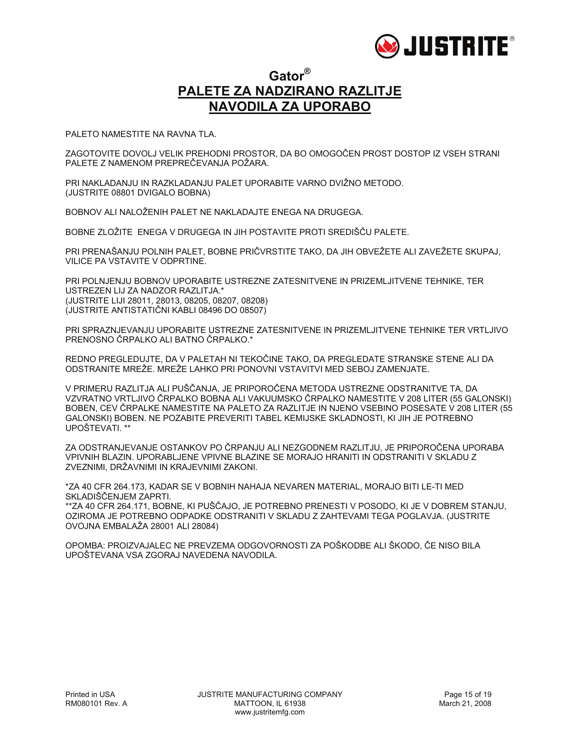

#### **Gator® PALETE ZA NADZIRANO RAZLITJE NAVODILA ZA UPORABO**

PALETO NAMESTITE NA RAVNA TLA.

OVOJNA EMBALAŽA 28001 ALI 28084)

ZAGOTOVITE DOVOLJ VELIK PREHODNI PROSTOR, DA BO OMOGOČEN PROST DOSTOP IZ VSEH STRANI PALETE Z NAMENOM PREPREČEVANJA POŽARA.

PRI NAKLADANJU IN RAZKLADANJU PALET UPORABITE VARNO DVIŽNO METODO. (JUSTRITE 08801 DVIGALO BOBNA)

BOBNOV ALI NALOŽENIH PALET NE NAKLADAJTE ENEGA NA DRUGEGA.

BOBNE ZLOŽITE ENEGA V DRUGEGA IN JIH POSTAVITE PROTI SREDIŠČU PALETE.

PRI PRENAŠANJU POLNIH PALET, BOBNE PRIČVRSTITE TAKO, DA JIH OBVEŽETE ALI ZAVEŽETE SKUPAJ, VILICE PA VSTAVITE V ODPRTINE.

PRI POLNJENJU BOBNOV UPORABITE USTREZNE ZATESNITVENE IN PRIZEMLJITVENE TEHNIKE, TER USTREZEN LIJ ZA NADZOR RAZLITJA.\* (JUSTRITE LIJI 28011, 28013, 08205, 08207, 08208) (JUSTRITE ANTISTATIČNI KABLI 08496 DO 08507)

PRI SPRAZNJEVANJU UPORABITE USTREZNE ZATESNITVENE IN PRIZEMLJITVENE TEHNIKE TER VRTLJIVO PRENOSNO ČRPALKO ALI BATNO ČRPALKO.\*

REDNO PREGLEDUJTE, DA V PALETAH NI TEKOČINE TAKO, DA PREGLEDATE STRANSKE STENE ALI DA ODSTRANITE MREŽE. MREŽE LAHKO PRI PONOVNI VSTAVITVI MED SEBOJ ZAMENJATE.

V PRIMERU RAZLITJA ALI PUŠČANJA, JE PRIPOROČENA METODA USTREZNE ODSTRANITVE TA, DA VZVRATNO VRTLJIVO ČRPALKO BOBNA ALI VAKUUMSKO ČRPALKO NAMESTITE V 208 LITER (55 GALONSKI) BOBEN, CEV ČRPALKE NAMESTITE NA PALETO ZA RAZLITJE IN NJENO VSEBINO POSESATE V 208 LITER (55 GALONSKI) BOBEN. NE POZABITE PREVERITI TABEL KEMIJSKE SKLADNOSTI, KI JIH JE POTREBNO UPOŠTEVATI. \*\*

ZA ODSTRANJEVANJE OSTANKOV PO ČRPANJU ALI NEZGODNEM RAZLITJU, JE PRIPOROČENA UPORABA VPIVNIH BLAZIN. UPORABLJENE VPIVNE BLAZINE SE MORAJO HRANITI IN ODSTRANITI V SKLADU Z ZVEZNIMI, DRŽAVNIMI IN KRAJEVNIMI ZAKONI.

\*ZA 40 CFR 264.173, KADAR SE V BOBNIH NAHAJA NEVAREN MATERIAL, MORAJO BITI LE-TI MED SKLADIŠČENJEM ZAPRTI. \*\*ZA 40 CFR 264.171, BOBNE, KI PUŠČAJO, JE POTREBNO PRENESTI V POSODO, KI JE V DOBREM STANJU, OZIROMA JE POTREBNO ODPADKE ODSTRANITI V SKLADU Z ZAHTEVAMI TEGA POGLAVJA. (JUSTRITE

OPOMBA: PROIZVAJALEC NE PREVZEMA ODGOVORNOSTI ZA POŠKODBE ALI ŠKODO, ČE NISO BILA UPOŠTEVANA VSA ZGORAJ NAVEDENA NAVODILA.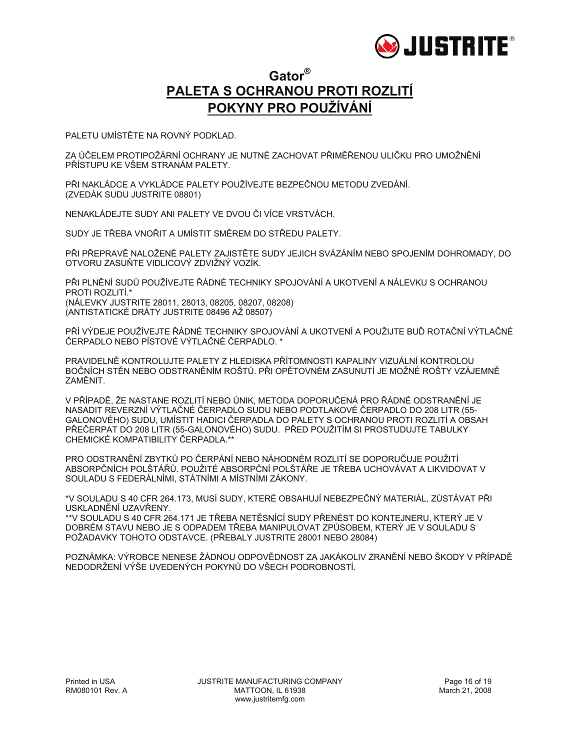

### **Gator® PALETA S OCHRANOU PROTI ROZLITÍ POKYNY PRO POUŽÍVÁNÍ**

PALETU UMÍSTĚTE NA ROVNÝ PODKLAD.

ZA ÚČELEM PROTIPOŽÁRNÍ OCHRANY JE NUTNÉ ZACHOVAT PŘIMĚŘENOU ULIČKU PRO UMOŽNĚNÍ PŘÍSTUPU KE VŠEM STRANÁM PALETY.

PŘI NAKLÁDCE A VYKLÁDCE PALETY POUŽÍVEJTE BEZPEČNOU METODU ZVEDÁNÍ. (ZVEDÁK SUDU JUSTRITE 08801)

NENAKLÁDEJTE SUDY ANI PALETY VE DVOU ČI VÍCE VRSTVÁCH.

SUDY JE TŘEBA VNOŘIT A UMÍSTIT SMĚREM DO STŘEDU PALETY.

PŘI PŘEPRAVĚ NALOŽENÉ PALETY ZAJISTĚTE SUDY JEJICH SVÁZÁNÍM NEBO SPOJENÍM DOHROMADY, DO OTVORU ZASUŇTE VIDLICOVÝ ZDVIŽNÝ VOZÍK.

PŘI PLNĚNÍ SUDŮ POUŽÍVEJTE ŘÁDNÉ TECHNIKY SPOJOVÁNÍ A UKOTVENÍ A NÁLEVKU S OCHRANOU PROTI ROZLITÍ.\* (NÁLEVKY JUSTRITE 28011, 28013, 08205, 08207, 08208) (ANTISTATICKÉ DRÁTY JUSTRITE 08496 AŽ 08507)

PŘÍ VÝDEJE POUŽÍVEJTE ŘÁDNÉ TECHNIKY SPOJOVÁNÍ A UKOTVENÍ A POUŽIJTE BUĎ ROTAČNÍ VÝTLAČNÉ ČERPADLO NEBO PÍSTOVÉ VÝTLAČNÉ ČERPADLO. \*

PRAVIDELNĚ KONTROLUJTE PALETY Z HLEDISKA PŘÍTOMNOSTI KAPALINY VIZUÁLNÍ KONTROLOU BOČNÍCH STĚN NEBO ODSTRANĚNÍM ROŠTŮ. PŘI OPĚTOVNÉM ZASUNUTÍ JE MOŽNÉ ROŠTY VZÁJEMNĚ ZAMĚNIT.

V PŘÍPADĚ, ŽE NASTANE ROZLITÍ NEBO ÚNIK, METODA DOPORUČENÁ PRO ŘÁDNÉ ODSTRANĚNÍ JE NASADIT REVERZNÍ VÝTLAČNÉ ČERPADLO SUDU NEBO PODTLAKOVÉ ČERPADLO DO 208 LITR (55- GALONOVÉHO) SUDU, UMÍSTIT HADICI ČERPADLA DO PALETY S OCHRANOU PROTI ROZLITÍ A OBSAH PŘEČERPAT DO 208 LITR (55-GALONOVÉHO) SUDU. PŘED POUŽITÍM SI PROSTUDUJTE TABULKY CHEMICKÉ KOMPATIBILITY ČERPADLA.\*\*

PRO ODSTRANĚNÍ ZBYTKŮ PO ČERPÁNÍ NEBO NÁHODNÉM ROZLITÍ SE DOPORUČUJE POUŽITÍ ABSORPČNÍCH POLŠTÁŘŮ. POUŽITÉ ABSORPČNÍ POLŠTÁŘE JE TŘEBA UCHOVÁVAT A LIKVIDOVAT V SOULADU S FEDERÁLNÍMI, STÁTNÍMI A MÍSTNÍMI ZÁKONY.

\*V SOULADU S 40 CFR 264.173, MUSÍ SUDY, KTERÉ OBSAHUJÍ NEBEZPEČNÝ MATERIÁL, ZŮSTÁVAT PŘI USKLADNĚNÍ UZAVŘENY.

\*\*V SOULADU S 40 CFR 264.171 JE TŘEBA NETĚSNÍCÍ SUDY PŘENÉST DO KONTEJNERU, KTERÝ JE V DOBRÉM STAVU NEBO JE S ODPADEM TŘEBA MANIPULOVAT ZPŮSOBEM, KTERÝ JE V SOULADU S POŽADAVKY TOHOTO ODSTAVCE. (PŘEBALY JUSTRITE 28001 NEBO 28084)

POZNÁMKA: VÝROBCE NENESE ŽÁDNOU ODPOVĚDNOST ZA JAKÁKOLIV ZRANĚNÍ NEBO ŠKODY V PŘÍPADĚ NEDODRŽENÍ VÝŠE UVEDENÝCH POKYNŮ DO VŠECH PODROBNOSTÍ.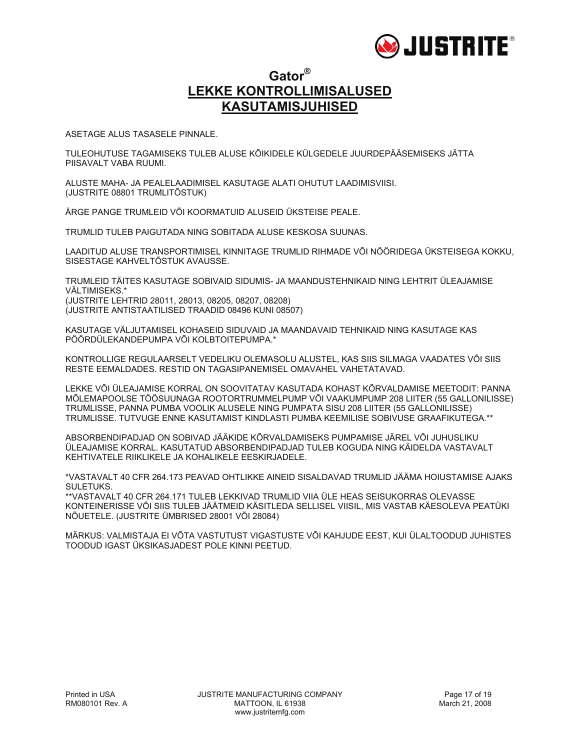

### **Gator® LEKKE KONTROLLIMISALUSED KASUTAMISJUHISED**

ASETAGE ALUS TASASELE PINNALE.

TULEOHUTUSE TAGAMISEKS TULEB ALUSE KÕIKIDELE KÜLGEDELE JUURDEPÄÄSEMISEKS JÄTTA PIISAVALT VABA RUUMI.

ALUSTE MAHA- JA PEALELAADIMISEL KASUTAGE ALATI OHUTUT LAADIMISVIISI. (JUSTRITE 08801 TRUMLITÕSTUK)

ÄRGE PANGE TRUMLEID VÕI KOORMATUID ALUSEID ÜKSTEISE PEALE.

TRUMLID TULEB PAIGUTADA NING SOBITADA ALUSE KESKOSA SUUNAS.

LAADITUD ALUSE TRANSPORTIMISEL KINNITAGE TRUMLID RIHMADE VÕI NÖÖRIDEGA ÜKSTEISEGA KOKKU, SISESTAGE KAHVELTÕSTUK AVAUSSE.

TRUMLEID TÄITES KASUTAGE SOBIVAID SIDUMIS- JA MAANDUSTEHNIKAID NING LEHTRIT ÜLEAJAMISE VÄLTIMISEKS.\* (JUSTRITE LEHTRID 28011, 28013, 08205, 08207, 08208) (JUSTRITE ANTISTAATILISED TRAADID 08496 KUNI 08507)

KASUTAGE VÄLJUTAMISEL KOHASEID SIDUVAID JA MAANDAVAID TEHNIKAID NING KASUTAGE KAS PÖÖRDÜLEKANDEPUMPA VÕI KOLBTOITEPUMPA.\*

KONTROLLIGE REGULAARSELT VEDELIKU OLEMASOLU ALUSTEL, KAS SIIS SILMAGA VAADATES VÕI SIIS RESTE EEMALDADES. RESTID ON TAGASIPANEMISEL OMAVAHEL VAHETATAVAD.

LEKKE VÕI ÜLEAJAMISE KORRAL ON SOOVITATAV KASUTADA KOHAST KÕRVALDAMISE MEETODIT: PANNA MÕLEMAPOOLSE TÖÖSUUNAGA ROOTORTRUMMELPUMP VÕI VAAKUMPUMP 208 LIITER (55 GALLONILISSE) TRUMLISSE, PANNA PUMBA VOOLIK ALUSELE NING PUMPATA SISU 208 LIITER (55 GALLONILISSE) TRUMLISSE. TUTVUGE ENNE KASUTAMIST KINDLASTI PUMBA KEEMILISE SOBIVUSE GRAAFIKUTEGA.\*\*

ABSORBENDIPADJAD ON SOBIVAD JÄÄKIDE KÕRVALDAMISEKS PUMPAMISE JÄREL VÕI JUHUSLIKU ÜLEAJAMISE KORRAL. KASUTATUD ABSORBENDIPADJAD TULEB KOGUDA NING KÄIDELDA VASTAVALT KEHTIVATELE RIIKLIKELE JA KOHALIKELE EESKIRJADELE.

\*VASTAVALT 40 CFR 264.173 PEAVAD OHTLIKKE AINEID SISALDAVAD TRUMLID JÄÄMA HOIUSTAMISE AJAKS SULETUKS.

\*\*VASTAVALT 40 CFR 264.171 TULEB LEKKIVAD TRUMLID VIIA ÜLE HEAS SEISUKORRAS OLEVASSE KONTEINERISSE VÕI SIIS TULEB JÄÄTMEID KÄSITLEDA SELLISEL VIISIL, MIS VASTAB KÄESOLEVA PEATÜKI NÕUETELE. (JUSTRITE ÜMBRISED 28001 VÕI 28084)

MÄRKUS: VALMISTAJA EI VÕTA VASTUTUST VIGASTUSTE VÕI KAHJUDE EEST, KUI ÜLALTOODUD JUHISTES TOODUD IGAST ÜKSIKASJADEST POLE KINNI PEETUD.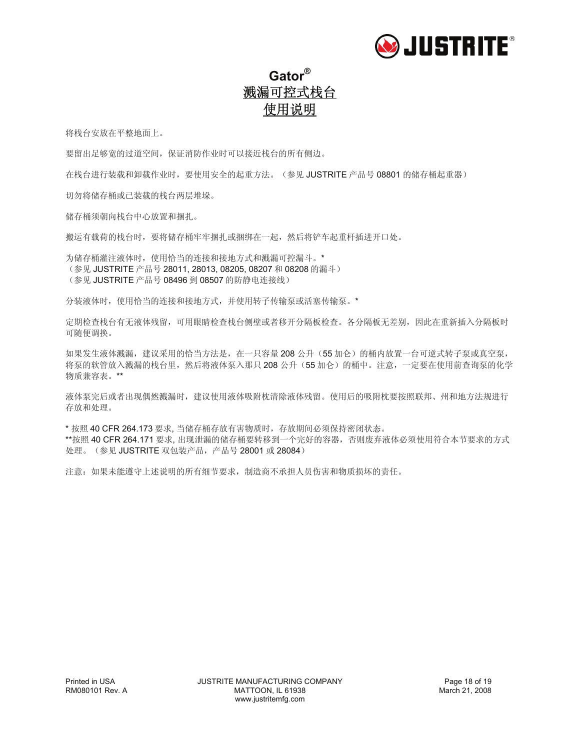

# **Gator®** 溅漏可控式栈台 使用说明

将栈台安放在平整地面上。

要留出足够宽的过道空间,保证消防作业时可以接近栈台的所有侧边。

在栈台进行装载和卸载作业时,要使用安全的起重方法。(参见 JUSTRITE 产品号 08801 的储存桶起重器)

切勿将储存桶或已装载的栈台两层堆垛。

储存桶须朝向栈台中心放置和捆扎。

搬运有载荷的栈台时,要将储存桶牢牢捆扎或捆绑在一起,然后将铲车起重杆插进开口处。

为储存桶灌注液体时,使用恰当的连接和接地方式和溅漏可控漏斗。\* (参见 JUSTRITE 产品号 28011, 28013, 08205, 08207 和 08208 的漏斗) (参见 JUSTRITE 产品号 08496 到 08507 的防静电连接线)

分装液体时,使用恰当的连接和接地方式,并使用转子传输泵或活塞传输泵。\*

定期检查栈台有无液体残留,可用眼睛检查栈台侧壁或者移开分隔板检查。各分隔板无差别,因此在重新插入分隔板时 可随便调换。

如果发生液体溅漏,建议采用的恰当方法是,在一只容量 208 公升(55 加仑)的桶内放置一台可逆式转子泵或真空泵, 将泵的软管放入溅漏的栈台里,然后将液体泵入那只208公升(55 加仑)的桶中。注意,一定要在使用前查询泵的化学 物质兼容表。\*\*

液体泵完后或者出现偶然溅漏时,建议使用液体吸附枕清除液体残留。使用后的吸附枕要按照联邦、州和地方法规进行 存放和处理。

\* 按照 40 CFR 264.173 要求, 当储存桶存放有害物质时,存放期间必须保持密闭状态。 \*\*按照 40 CFR 264.171 要求, 出现泄漏的储存桶要转移到一个完好的容器, 否则废弃液体必须使用符合本节要求的方式 处理。(参见 JUSTRITE 双包装产品,产品号 28001 或 28084)

注意:如果未能遵守上述说明的所有细节要求,制造商不承担人员伤害和物质损坏的责任。